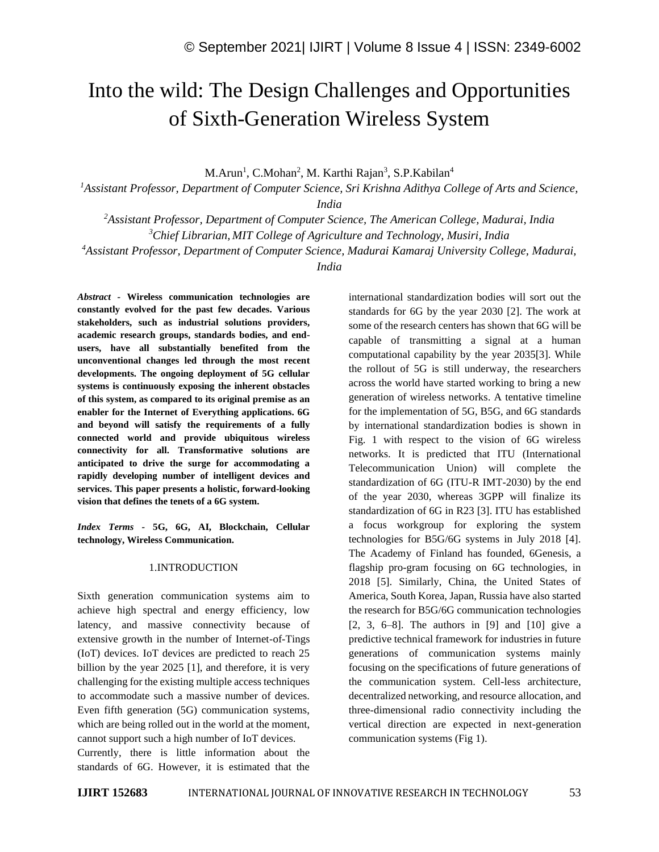# Into the wild: The Design Challenges and Opportunities of Sixth-Generation Wireless System

M.Arun<sup>1</sup>, C.Mohan<sup>2</sup>, M. Karthi Rajan<sup>3</sup>, S.P.Kabilan<sup>4</sup>

*<sup>1</sup>Assistant Professor, Department of Computer Science, Sri Krishna Adithya College of Arts and Science,* 

*India*

*<sup>2</sup>Assistant Professor, Department of Computer Science, The American College, Madurai, India <sup>3</sup>Chief Librarian, MIT College of Agriculture and Technology, Musiri, India <sup>4</sup>Assistant Professor, Department of Computer Science, Madurai Kamaraj University College, Madurai,*

*India*

*Abstract -* **Wireless communication technologies are constantly evolved for the past few decades. Various stakeholders, such as industrial solutions providers, academic research groups, standards bodies, and endusers, have all substantially benefited from the unconventional changes led through the most recent developments. The ongoing deployment of 5G cellular systems is continuously exposing the inherent obstacles of this system, as compared to its original premise as an enabler for the Internet of Everything applications. 6G and beyond will satisfy the requirements of a fully connected world and provide ubiquitous wireless connectivity for all. Transformative solutions are anticipated to drive the surge for accommodating a rapidly developing number of intelligent devices and services. This paper presents a holistic, forward-looking vision that defines the tenets of a 6G system.**

*Index Terms -* **5G, 6G, AI, Blockchain, Cellular technology, Wireless Communication.**

#### 1.INTRODUCTION

Sixth generation communication systems aim to achieve high spectral and energy efficiency, low latency, and massive connectivity because of extensive growth in the number of Internet-of-Tings (IoT) devices. IoT devices are predicted to reach 25 billion by the year 2025 [1], and therefore, it is very challenging for the existing multiple access techniques to accommodate such a massive number of devices. Even fifth generation (5G) communication systems, which are being rolled out in the world at the moment, cannot support such a high number of IoT devices.

Currently, there is little information about the standards of 6G. However, it is estimated that the international standardization bodies will sort out the standards for 6G by the year 2030 [2]. The work at some of the research centers has shown that 6G will be capable of transmitting a signal at a human computational capability by the year 2035[3]. While the rollout of 5G is still underway, the researchers across the world have started working to bring a new generation of wireless networks. A tentative timeline for the implementation of 5G, B5G, and 6G standards by international standardization bodies is shown in Fig. 1 with respect to the vision of 6G wireless networks. It is predicted that ITU (International Telecommunication Union) will complete the standardization of 6G (ITU-R IMT-2030) by the end of the year 2030, whereas 3GPP will finalize its standardization of 6G in R23 [3]. ITU has established a focus workgroup for exploring the system technologies for B5G/6G systems in July 2018 [4]. The Academy of Finland has founded, 6Genesis, a flagship pro-gram focusing on 6G technologies, in 2018 [5]. Similarly, China, the United States of America, South Korea, Japan, Russia have also started the research for B5G/6G communication technologies [2, 3, 6–8]. The authors in [9] and [10] give a predictive technical framework for industries in future generations of communication systems mainly focusing on the specifications of future generations of the communication system. Cell-less architecture, decentralized networking, and resource allocation, and three-dimensional radio connectivity including the vertical direction are expected in next-generation communication systems (Fig 1).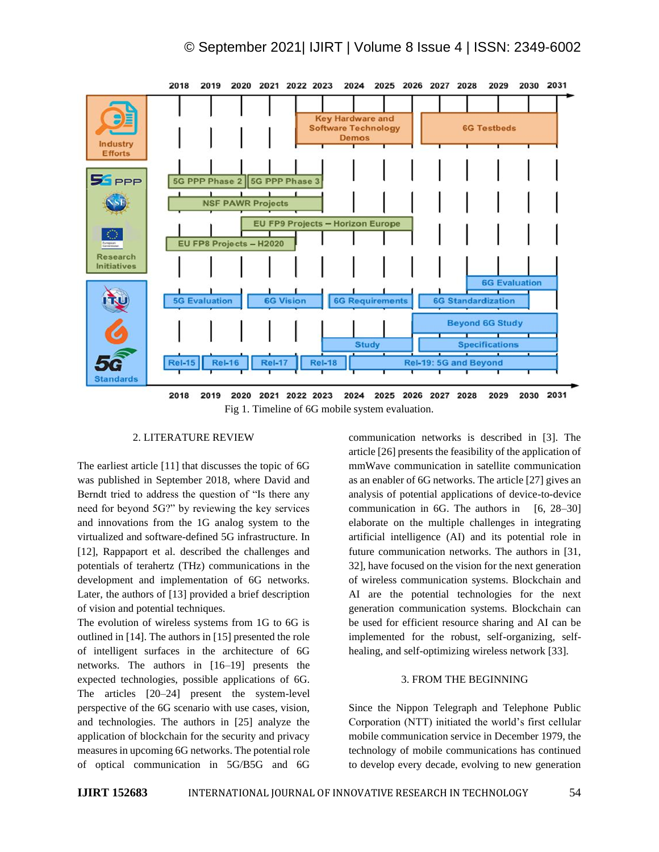

## 2. LITERATURE REVIEW

The earliest article [11] that discusses the topic of 6G was published in September 2018, where David and Berndt tried to address the question of "Is there any need for beyond 5G?" by reviewing the key services and innovations from the 1G analog system to the virtualized and software-defined 5G infrastructure. In [12], Rappaport et al. described the challenges and potentials of terahertz (THz) communications in the development and implementation of 6G networks. Later, the authors of [13] provided a brief description of vision and potential techniques.

The evolution of wireless systems from 1G to 6G is outlined in [14]. The authors in [15] presented the role of intelligent surfaces in the architecture of 6G networks. The authors in [16–19] presents the expected technologies, possible applications of 6G. The articles [20–24] present the system-level perspective of the 6G scenario with use cases, vision, and technologies. The authors in [25] analyze the application of blockchain for the security and privacy measures in upcoming 6G networks. The potential role of optical communication in 5G/B5G and 6G

communication networks is described in [3]. The article [26] presents the feasibility of the application of mmWave communication in satellite communication as an enabler of 6G networks. The article [27] gives an analysis of potential applications of device-to-device communication in  $6G$ . The authors in  $[6, 28-30]$ elaborate on the multiple challenges in integrating artificial intelligence (AI) and its potential role in future communication networks. The authors in [31, 32], have focused on the vision for the next generation of wireless communication systems. Blockchain and AI are the potential technologies for the next generation communication systems. Blockchain can be used for efficient resource sharing and AI can be implemented for the robust, self-organizing, selfhealing, and self-optimizing wireless network [33].

## 3. FROM THE BEGINNING

Since the Nippon Telegraph and Telephone Public Corporation (NTT) initiated the world's first cellular mobile communication service in December 1979, the technology of mobile communications has continued to develop every decade, evolving to new generation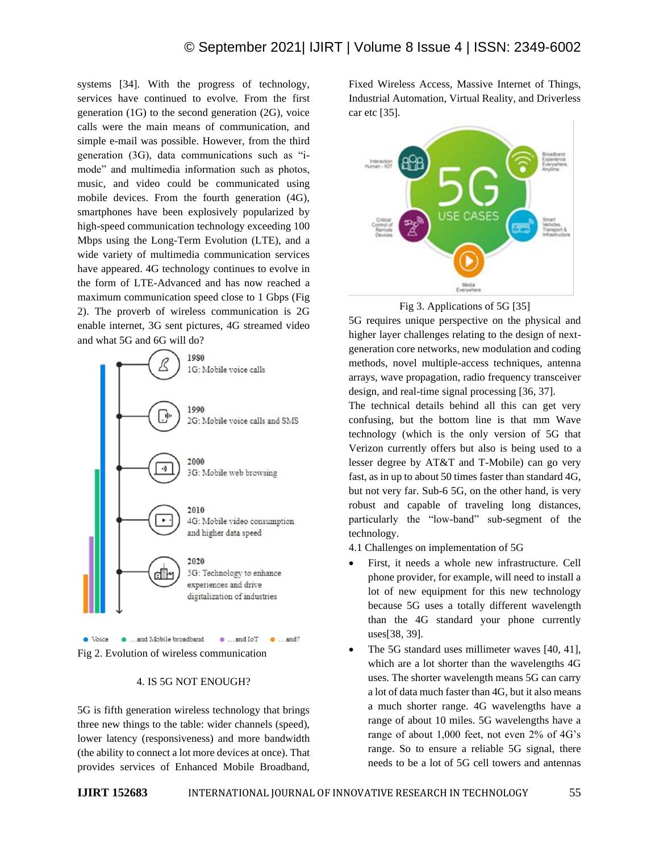systems [34]. With the progress of technology, services have continued to evolve. From the first generation (1G) to the second generation (2G), voice calls were the main means of communication, and simple e-mail was possible. However, from the third generation (3G), data communications such as "imode" and multimedia information such as photos, music, and video could be communicated using mobile devices. From the fourth generation (4G), smartphones have been explosively popularized by high-speed communication technology exceeding 100 Mbps using the Long-Term Evolution (LTE), and a wide variety of multimedia communication services have appeared. 4G technology continues to evolve in the form of LTE-Advanced and has now reached a maximum communication speed close to 1 Gbps (Fig 2). The proverb of wireless communication is 2G enable internet, 3G sent pictures, 4G streamed video and what 5G and 6G will do?



#### Fig 2. Evolution of wireless communication

#### 4. IS 5G NOT ENOUGH?

5G is fifth generation wireless technology that brings three new things to the table: wider channels (speed), lower latency (responsiveness) and more bandwidth (the ability to connect a lot more devices at once). That provides services of Enhanced Mobile Broadband,

Fixed Wireless Access, Massive Internet of Things, Industrial Automation, Virtual Reality, and Driverless car etc [35].





5G requires unique perspective on the physical and higher layer challenges relating to the design of nextgeneration core networks, new modulation and coding methods, novel multiple-access techniques, antenna arrays, wave propagation, radio frequency transceiver design, and real-time signal processing [36, 37].

The technical details behind all this can get very confusing, but the bottom line is that mm Wave technology (which is the only version of 5G that Verizon currently offers but also is being used to a lesser degree by AT&T and T-Mobile) can go very fast, as in up to about 50 times faster than standard 4G, but not very far. Sub-6 5G, on the other hand, is very robust and capable of traveling long distances, particularly the "low-band" sub-segment of the technology.

- 4.1 Challenges on implementation of 5G
- First, it needs a whole new infrastructure. Cell phone provider, for example, will need to install a lot of new equipment for this new technology because 5G uses a totally different wavelength than the 4G standard your phone currently uses[38, 39].
- The 5G standard uses millimeter waves [40, 41], which are a lot shorter than the wavelengths 4G uses. The shorter wavelength means 5G can carry a lot of data much faster than 4G, but it also means a much shorter range. 4G wavelengths have a range of about 10 miles. 5G wavelengths have a range of about 1,000 feet, not even 2% of 4G's range. So to ensure a reliable 5G signal, there needs to be a lot of 5G cell towers and antennas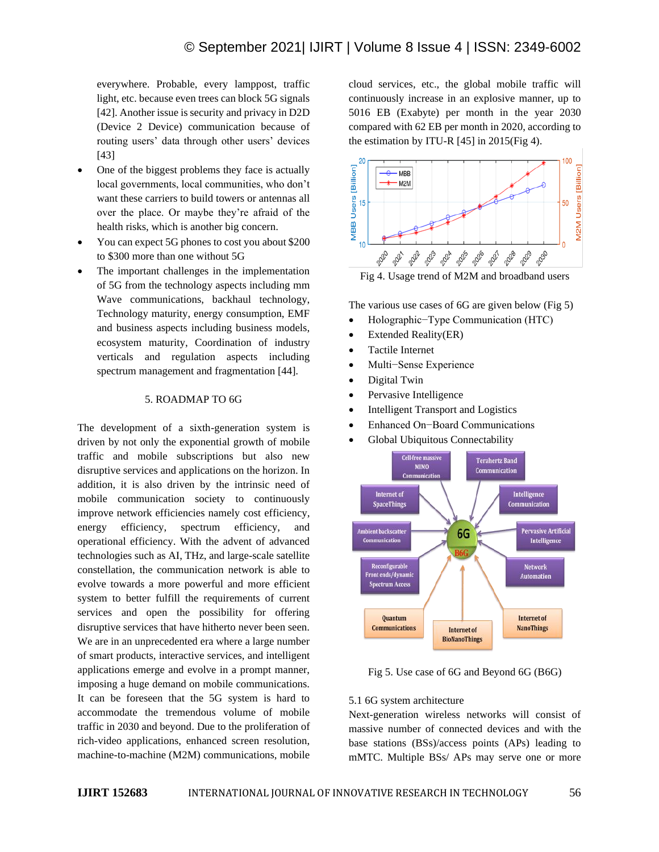everywhere. Probable, every lamppost, traffic light, etc. because even trees can block 5G signals [42]. Another issue is security and privacy in D2D (Device 2 Device) communication because of routing users' data through other users' devices [43]

- One of the biggest problems they face is actually local governments, local communities, who don't want these carriers to build towers or antennas all over the place. Or maybe they're afraid of the health risks, which is another big concern.
- You can expect 5G phones to cost you about \$200 to \$300 more than one without 5G
- The important challenges in the implementation of 5G from the technology aspects including mm Wave communications, backhaul technology, Technology maturity, energy consumption, EMF and business aspects including business models, ecosystem maturity, Coordination of industry verticals and regulation aspects including spectrum management and fragmentation [44].

## 5. ROADMAP TO 6G

The development of a sixth-generation system is driven by not only the exponential growth of mobile traffic and mobile subscriptions but also new disruptive services and applications on the horizon. In addition, it is also driven by the intrinsic need of mobile communication society to continuously improve network efficiencies namely cost efficiency, energy efficiency, spectrum efficiency, and operational efficiency. With the advent of advanced technologies such as AI, THz, and large-scale satellite constellation, the communication network is able to evolve towards a more powerful and more efficient system to better fulfill the requirements of current services and open the possibility for offering disruptive services that have hitherto never been seen. We are in an unprecedented era where a large number of smart products, interactive services, and intelligent applications emerge and evolve in a prompt manner, imposing a huge demand on mobile communications. It can be foreseen that the 5G system is hard to accommodate the tremendous volume of mobile traffic in 2030 and beyond. Due to the proliferation of rich-video applications, enhanced screen resolution, machine-to-machine (M2M) communications, mobile cloud services, etc., the global mobile traffic will continuously increase in an explosive manner, up to 5016 EB (Exabyte) per month in the year 2030 compared with 62 EB per month in 2020, according to the estimation by ITU-R [45] in 2015(Fig 4).



Fig 4. Usage trend of M2M and broadband users

The various use cases of 6G are given below (Fig 5)

- Holographic−Type Communication (HTC)
- Extended Reality(ER)
- Tactile Internet
- Multi−Sense Experience
- Digital Twin
- Pervasive Intelligence
- Intelligent Transport and Logistics
- Enhanced On−Board Communications
- Global Ubiquitous Connectability



Fig 5. Use case of 6G and Beyond 6G (B6G)

## 5.1 6G system architecture

Next-generation wireless networks will consist of massive number of connected devices and with the base stations (BSs)/access points (APs) leading to mMTC. Multiple BSs/ APs may serve one or more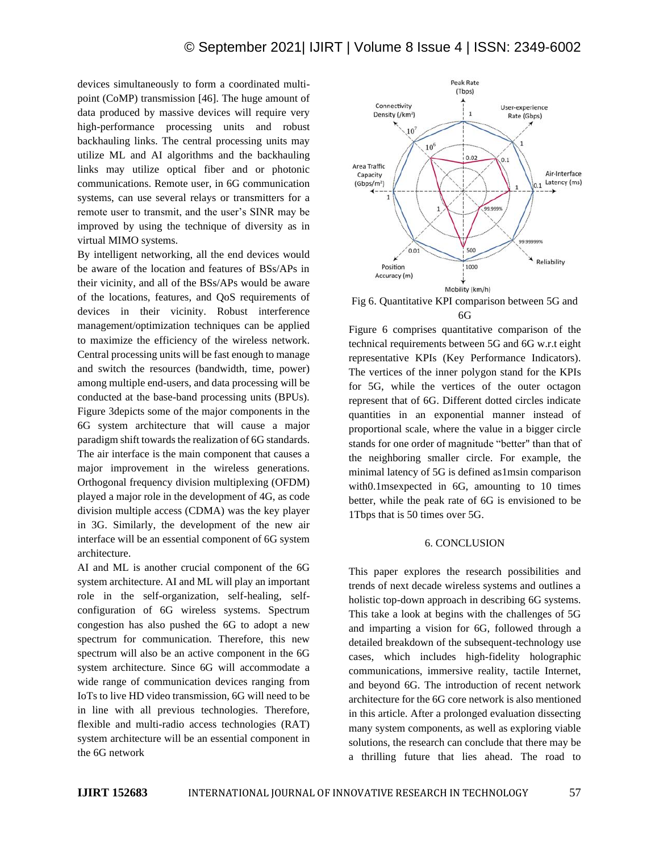devices simultaneously to form a coordinated multipoint (CoMP) transmission [46]. The huge amount of data produced by massive devices will require very high-performance processing units and robust backhauling links. The central processing units may utilize ML and AI algorithms and the backhauling links may utilize optical fiber and or photonic communications. Remote user, in 6G communication systems, can use several relays or transmitters for a remote user to transmit, and the user's SINR may be improved by using the technique of diversity as in virtual MIMO systems.

By intelligent networking, all the end devices would be aware of the location and features of BSs/APs in their vicinity, and all of the BSs/APs would be aware of the locations, features, and QoS requirements of devices in their vicinity. Robust interference management/optimization techniques can be applied to maximize the efficiency of the wireless network. Central processing units will be fast enough to manage and switch the resources (bandwidth, time, power) among multiple end-users, and data processing will be conducted at the base-band processing units (BPUs). Figure 3depicts some of the major components in the 6G system architecture that will cause a major paradigm shift towards the realization of 6G standards. The air interface is the main component that causes a major improvement in the wireless generations. Orthogonal frequency division multiplexing (OFDM) played a major role in the development of 4G, as code division multiple access (CDMA) was the key player in 3G. Similarly, the development of the new air interface will be an essential component of 6G system architecture.

AI and ML is another crucial component of the 6G system architecture. AI and ML will play an important role in the self-organization, self-healing, selfconfiguration of 6G wireless systems. Spectrum congestion has also pushed the 6G to adopt a new spectrum for communication. Therefore, this new spectrum will also be an active component in the 6G system architecture. Since 6G will accommodate a wide range of communication devices ranging from IoTs to live HD video transmission, 6G will need to be in line with all previous technologies. Therefore, flexible and multi-radio access technologies (RAT) system architecture will be an essential component in the 6G network



Fig 6. Quantitative KPI comparison between 5G and 6G

Figure 6 comprises quantitative comparison of the technical requirements between 5G and 6G w.r.t eight representative KPIs (Key Performance Indicators). The vertices of the inner polygon stand for the KPIs for 5G, while the vertices of the outer octagon represent that of 6G. Different dotted circles indicate quantities in an exponential manner instead of proportional scale, where the value in a bigger circle stands for one order of magnitude "better" than that of the neighboring smaller circle. For example, the minimal latency of 5G is defined as1msin comparison with0.1msexpected in 6G, amounting to 10 times better, while the peak rate of 6G is envisioned to be 1Tbps that is 50 times over 5G.

#### 6. CONCLUSION

This paper explores the research possibilities and trends of next decade wireless systems and outlines a holistic top-down approach in describing 6G systems. This take a look at begins with the challenges of 5G and imparting a vision for 6G, followed through a detailed breakdown of the subsequent-technology use cases, which includes high-fidelity holographic communications, immersive reality, tactile Internet, and beyond 6G. The introduction of recent network architecture for the 6G core network is also mentioned in this article. After a prolonged evaluation dissecting many system components, as well as exploring viable solutions, the research can conclude that there may be a thrilling future that lies ahead. The road to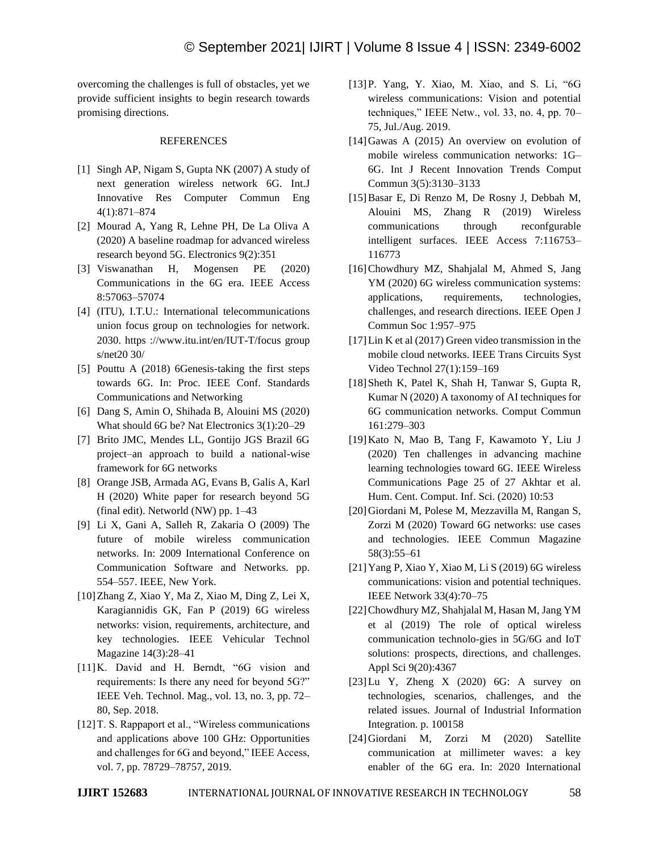overcoming the challenges is full of obstacles, yet we provide sufficient insights to begin research towards promising directions.

## REFERENCES

- [1] Singh AP, Nigam S, Gupta NK (2007) A study of next generation wireless network 6G. Int.J Innovative Res Computer Commun Eng 4(1):871–874
- [2] Mourad A, Yang R, Lehne PH, De La Oliva A (2020) A baseline roadmap for advanced wireless research beyond 5G. Electronics 9(2):351
- [3] Viswanathan H, Mogensen PE (2020) Communications in the 6G era. IEEE Access 8:57063–57074
- [4] (ITU), I.T.U.: International telecommunications union focus group on technologies for network. 2030. https ://www.itu.int/en/IUT-T/focus group s/net20 30/
- [5] Pouttu A (2018) 6Genesis-taking the first steps towards 6G. In: Proc. IEEE Conf. Standards Communications and Networking
- [6] Dang S, Amin O, Shihada B, Alouini MS (2020) What should 6G be? Nat Electronics 3(1):20–29
- [7] Brito JMC, Mendes LL, Gontijo JGS Brazil 6G project–an approach to build a national-wise framework for 6G networks
- [8] Orange JSB, Armada AG, Evans B, Galis A, Karl H (2020) White paper for research beyond 5G (final edit). Networld (NW) pp. 1–43
- [9] Li X, Gani A, Salleh R, Zakaria O (2009) The future of mobile wireless communication networks. In: 2009 International Conference on Communication Software and Networks. pp. 554–557. IEEE, New York.
- [10]Zhang Z, Xiao Y, Ma Z, Xiao M, Ding Z, Lei X, Karagiannidis GK, Fan P (2019) 6G wireless networks: vision, requirements, architecture, and key technologies. IEEE Vehicular Technol Magazine 14(3):28–41
- [11]K. David and H. Berndt, "6G vision and requirements: Is there any need for beyond 5G?" IEEE Veh. Technol. Mag., vol. 13, no. 3, pp. 72– 80, Sep. 2018.
- [12] T. S. Rappaport et al., "Wireless communications" and applications above 100 GHz: Opportunities and challenges for 6G and beyond," IEEE Access, vol. 7, pp. 78729–78757, 2019.
- [13]P. Yang, Y. Xiao, M. Xiao, and S. Li, "6G wireless communications: Vision and potential techniques," IEEE Netw., vol. 33, no. 4, pp. 70– 75, Jul./Aug. 2019.
- [14]Gawas A (2015) An overview on evolution of mobile wireless communication networks: 1G– 6G. Int J Recent Innovation Trends Comput Commun 3(5):3130–3133
- [15]Basar E, Di Renzo M, De Rosny J, Debbah M, Alouini MS, Zhang R (2019) Wireless communications through reconfgurable intelligent surfaces. IEEE Access 7:116753– 116773
- [16]Chowdhury MZ, Shahjalal M, Ahmed S, Jang YM (2020) 6G wireless communication systems: applications, requirements, technologies, challenges, and research directions. IEEE Open J Commun Soc 1:957–975
- [17]Lin K et al (2017) Green video transmission in the mobile cloud networks. IEEE Trans Circuits Syst Video Technol 27(1):159–169
- [18]Sheth K, Patel K, Shah H, Tanwar S, Gupta R, Kumar N (2020) A taxonomy of AI techniques for 6G communication networks. Comput Commun 161:279–303
- [19]Kato N, Mao B, Tang F, Kawamoto Y, Liu J (2020) Ten challenges in advancing machine learning technologies toward 6G. IEEE Wireless Communications Page 25 of 27 Akhtar et al. Hum. Cent. Comput. Inf. Sci. (2020) 10:53
- [20]Giordani M, Polese M, Mezzavilla M, Rangan S, Zorzi M (2020) Toward 6G networks: use cases and technologies. IEEE Commun Magazine 58(3):55–61
- [21]Yang P, Xiao Y, Xiao M, Li S (2019) 6G wireless communications: vision and potential techniques. IEEE Network 33(4):70–75
- [22]Chowdhury MZ, Shahjalal M, Hasan M, Jang YM et al (2019) The role of optical wireless communication technolo-gies in 5G/6G and IoT solutions: prospects, directions, and challenges. Appl Sci 9(20):4367
- $[23]$ Lu Y, Zheng X  $(2020)$  6G: A survey on technologies, scenarios, challenges, and the related issues. Journal of Industrial Information Integration. p. 100158
- [24]Giordani M, Zorzi M (2020) Satellite communication at millimeter waves: a key enabler of the 6G era. In: 2020 International